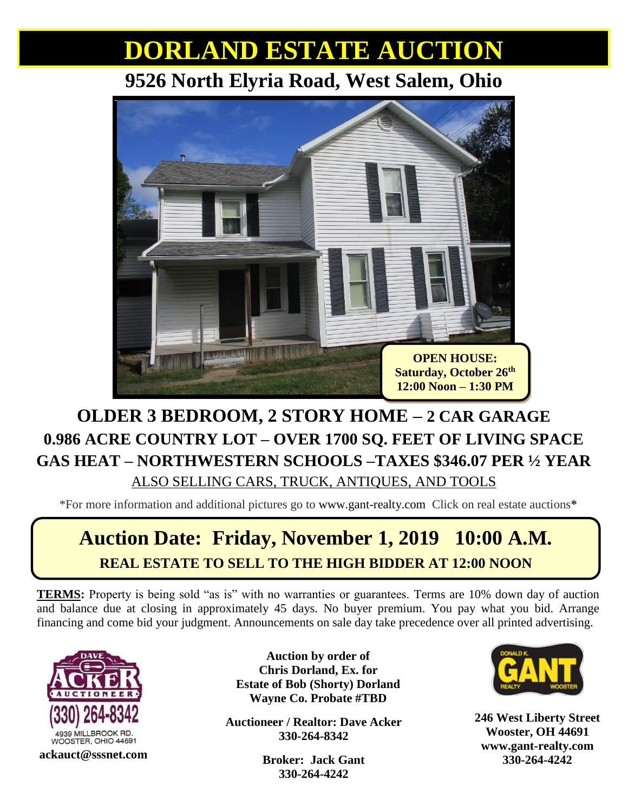# **DORLAND ESTATE AUCTION**

### **9526 North Elyria Road, West Salem, Ohio**



#### **OLDER 3 BEDROOM, 2 STORY HOME – 2 CAR GARAGE 0.986 ACRE COUNTRY LOT – OVER 1700 SQ. FEET OF LIVING SPACE GAS HEAT – NORTHWESTERN SCHOOLS –TAXES \$346.07 PER ½ YEAR** ALSO SELLING CARS, TRUCK, ANTIQUES, AND TOOLS

\*For more information and additional pictures go to [www.gant-realty.com](http://www.gant-realty.com/) Click on real estate auctions**\***

## **Auction Date: Friday, November 1, 2019 10:00 A.M. REAL ESTATE TO SELL TO THE HIGH BIDDER AT 12:00 NOON**

**TERMS:** Property is being sold "as is" with no warranties or guarantees. Terms are 10% down day of auction and balance due at closing in approximately 45 days. No buyer premium. You pay what you bid. Arrange financing and come bid your judgment. Announcements on sale day take precedence over all printed advertising.



**Auction by order of Chris Dorland, Ex. for Estate of Bob (Shorty) Dorland Wayne Co. Probate #TBD**

**Auctioneer / Realtor: Dave Acker 330-264-8342**

**330-264-4242**



**Broker: Jack Gant 330-264-4242 ackauct@sssnet.com 246 West Liberty Street Wooster, OH 44691 [www.gant-realty.com](http://www.gant-realty.com/)**